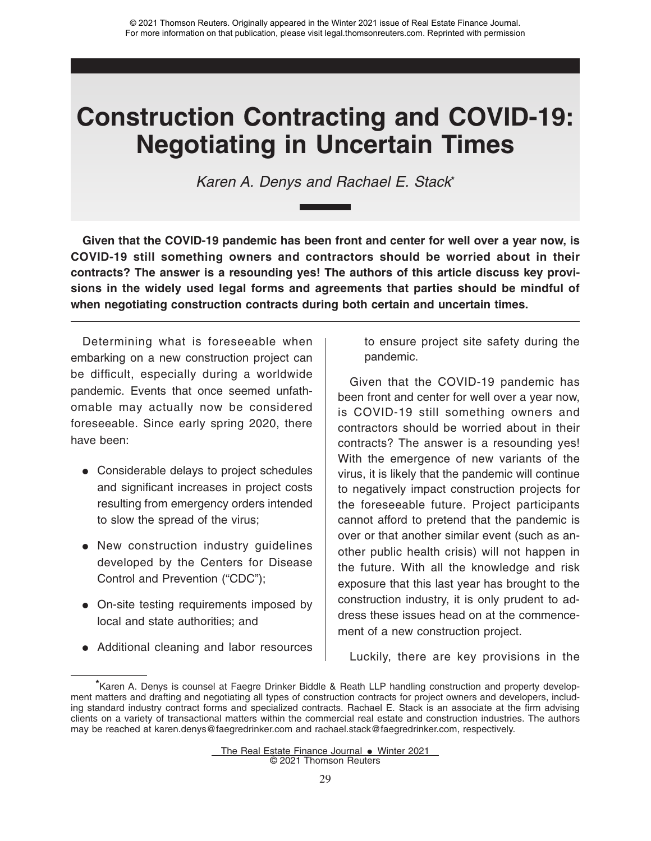# **Construction Contracting and COVID-19: Negotiating in Uncertain Times**

Karen A. Denys and Rachael E. Stack**\***

**Given that the COVID-19 pandemic has been front and center for well over a year now, is COVID-19 still something owners and contractors should be worried about in their contracts? The answer is a resounding yes! The authors of this article discuss key provisions in the widely used legal forms and agreements that parties should be mindful of when negotiating construction contracts during both certain and uncertain times.**

Determining what is foreseeable when embarking on a new construction project can be difficult, especially during a worldwide pandemic. Events that once seemed unfathomable may actually now be considered foreseeable. Since early spring 2020, there have been:

- Considerable delays to project schedules and significant increases in project costs resulting from emergency orders intended to slow the spread of the virus;
- New construction industry guidelines developed by the Centers for Disease Control and Prevention ("CDC");
- On-site testing requirements imposed by local and state authorities; and
- Additional cleaning and labor resources

to ensure project site safety during the pandemic.

Given that the COVID-19 pandemic has been front and center for well over a year now, is COVID-19 still something owners and contractors should be worried about in their contracts? The answer is a resounding yes! With the emergence of new variants of the virus, it is likely that the pandemic will continue to negatively impact construction projects for the foreseeable future. Project participants cannot afford to pretend that the pandemic is over or that another similar event (such as another public health crisis) will not happen in the future. With all the knowledge and risk exposure that this last year has brought to the construction industry, it is only prudent to address these issues head on at the commencement of a new construction project.

Luckily, there are key provisions in the

**<sup>\*</sup>**Karen A. Denys is counsel at Faegre Drinker Biddle & Reath LLP handling construction and property development matters and drafting and negotiating all types of construction contracts for project owners and developers, including standard industry contract forms and specialized contracts. Rachael E. Stack is an associate at the firm advising clients on a variety of transactional matters within the commercial real estate and construction industries. The authors may be reached at karen.denys@faegredrinker.com and rachael.stack@faegredrinker.com, respectively.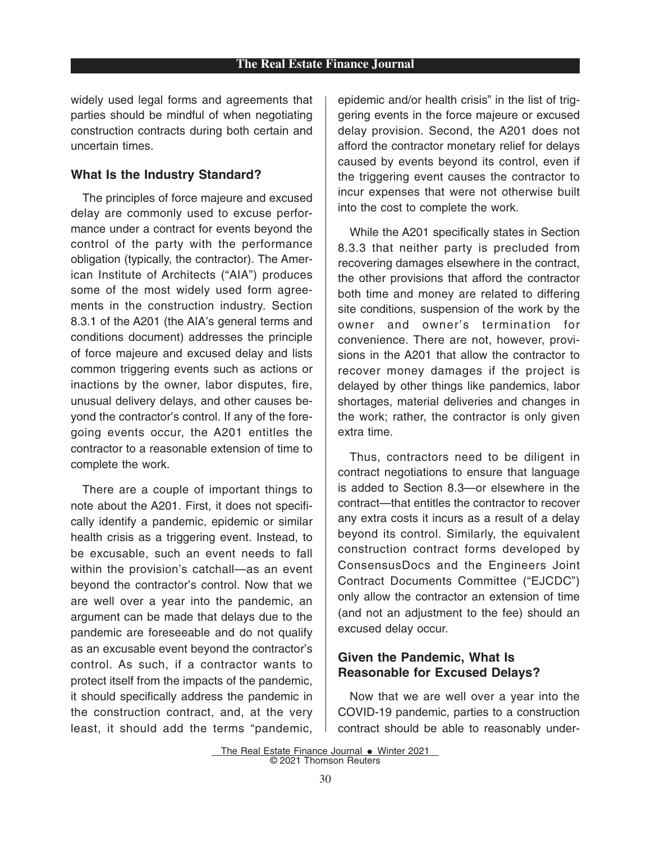widely used legal forms and agreements that parties should be mindful of when negotiating construction contracts during both certain and uncertain times.

#### **What Is the Industry Standard?**

The principles of force majeure and excused delay are commonly used to excuse performance under a contract for events beyond the control of the party with the performance obligation (typically, the contractor). The American Institute of Architects ("AIA") produces some of the most widely used form agreements in the construction industry. Section 8.3.1 of the A201 (the AIA's general terms and conditions document) addresses the principle of force majeure and excused delay and lists common triggering events such as actions or inactions by the owner, labor disputes, fire, unusual delivery delays, and other causes beyond the contractor's control. If any of the foregoing events occur, the A201 entitles the contractor to a reasonable extension of time to complete the work.

There are a couple of important things to note about the A201. First, it does not specifically identify a pandemic, epidemic or similar health crisis as a triggering event. Instead, to be excusable, such an event needs to fall within the provision's catchall—as an event beyond the contractor's control. Now that we are well over a year into the pandemic, an argument can be made that delays due to the pandemic are foreseeable and do not qualify as an excusable event beyond the contractor's control. As such, if a contractor wants to protect itself from the impacts of the pandemic, it should specifically address the pandemic in the construction contract, and, at the very least, it should add the terms "pandemic,

epidemic and/or health crisis" in the list of triggering events in the force majeure or excused delay provision. Second, the A201 does not afford the contractor monetary relief for delays caused by events beyond its control, even if the triggering event causes the contractor to incur expenses that were not otherwise built into the cost to complete the work.

While the A201 specifically states in Section 8.3.3 that neither party is precluded from recovering damages elsewhere in the contract, the other provisions that afford the contractor both time and money are related to differing site conditions, suspension of the work by the owner and owner's termination for convenience. There are not, however, provisions in the A201 that allow the contractor to recover money damages if the project is delayed by other things like pandemics, labor shortages, material deliveries and changes in the work; rather, the contractor is only given extra time.

Thus, contractors need to be diligent in contract negotiations to ensure that language is added to Section 8.3—or elsewhere in the contract—that entitles the contractor to recover any extra costs it incurs as a result of a delay beyond its control. Similarly, the equivalent construction contract forms developed by ConsensusDocs and the Engineers Joint Contract Documents Committee ("EJCDC") only allow the contractor an extension of time (and not an adjustment to the fee) should an excused delay occur.

### **Given the Pandemic, What Is Reasonable for Excused Delays?**

Now that we are well over a year into the COVID-19 pandemic, parties to a construction contract should be able to reasonably under-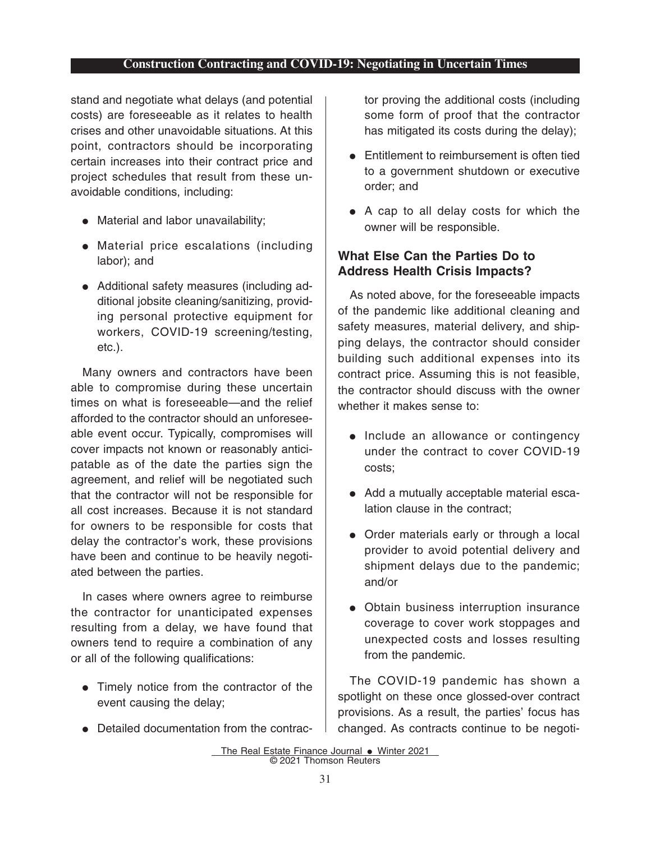#### **Construction Contracting and COVID-19: Negotiating in Uncertain Times**

stand and negotiate what delays (and potential costs) are foreseeable as it relates to health crises and other unavoidable situations. At this point, contractors should be incorporating certain increases into their contract price and project schedules that result from these unavoidable conditions, including:

- Material and labor unavailability;
- Material price escalations (including labor); and
- Additional safety measures (including additional jobsite cleaning/sanitizing, providing personal protective equipment for workers, COVID-19 screening/testing, etc.).

Many owners and contractors have been able to compromise during these uncertain times on what is foreseeable—and the relief afforded to the contractor should an unforeseeable event occur. Typically, compromises will cover impacts not known or reasonably anticipatable as of the date the parties sign the agreement, and relief will be negotiated such that the contractor will not be responsible for all cost increases. Because it is not standard for owners to be responsible for costs that delay the contractor's work, these provisions have been and continue to be heavily negotiated between the parties.

In cases where owners agree to reimburse the contractor for unanticipated expenses resulting from a delay, we have found that owners tend to require a combination of any or all of the following qualifications:

- Timely notice from the contractor of the event causing the delay;
- Detailed documentation from the contrac-

tor proving the additional costs (including some form of proof that the contractor has mitigated its costs during the delay);

- Entitlement to reimbursement is often tied to a government shutdown or executive order; and
- A cap to all delay costs for which the owner will be responsible.

# **What Else Can the Parties Do to Address Health Crisis Impacts?**

As noted above, for the foreseeable impacts of the pandemic like additional cleaning and safety measures, material delivery, and shipping delays, the contractor should consider building such additional expenses into its contract price. Assuming this is not feasible, the contractor should discuss with the owner whether it makes sense to:

- Include an allowance or contingency under the contract to cover COVID-19 costs;
- Add a mutually acceptable material escalation clause in the contract;
- Order materials early or through a local provider to avoid potential delivery and shipment delays due to the pandemic; and/or
- Obtain business interruption insurance coverage to cover work stoppages and unexpected costs and losses resulting from the pandemic.

The COVID-19 pandemic has shown a spotlight on these once glossed-over contract provisions. As a result, the parties' focus has changed. As contracts continue to be negoti-

The Real Estate Finance Journal • Winter 2021 © 2021 Thomson Reuters